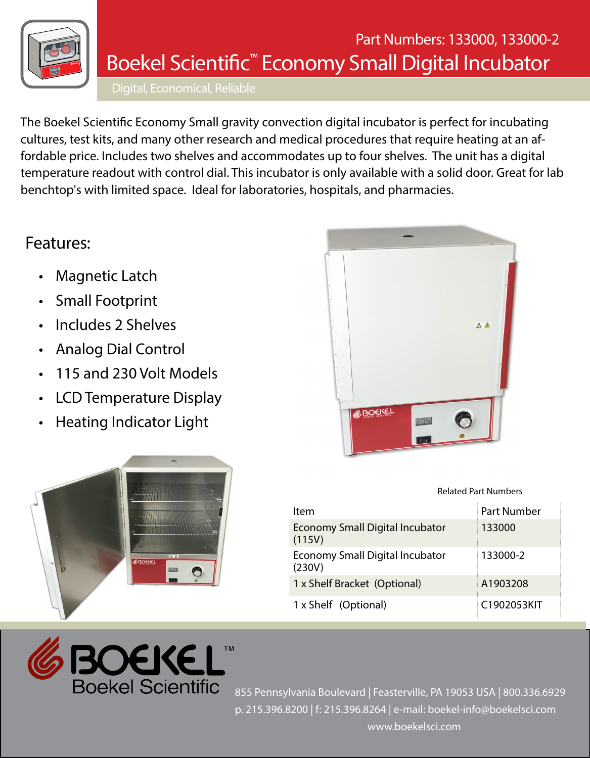

## Boekel Scientific™ Economy Small Digital Incubator Part Numbers: 133000, 133000-2

Digital, Economical, Reliable

The Boekel Scientific Economy Small gravity convection digital incubator is perfect for incubating cultures, test kits, and many other research and medical procedures that require heating at an affordable price. Includes two shelves and accommodates up to four shelves. The unit has a digital temperature readout with control dial. This incubator is only available with a solid door. Great for lab benchtop's with limited space. Ideal for laboratories, hospitals, and pharmacies.

## Features:

- **Magnetic Latch**
- **Small Footprint**
- Includes 2 Shelves
- Analog Dial Control
- 115 and 230 Volt Models
- LCD Temperature Display
- Heating Indicator Light





Related Part Numbers

| Item                                             | <b>Part Number</b> |
|--------------------------------------------------|--------------------|
| <b>Economy Small Digital Incubator</b><br>(115V) | 133000             |
| <b>Economy Small Digital Incubator</b><br>(230V) | 133000-2           |
| 1 x Shelf Bracket (Optional)                     | A1903208           |
| 1 x Shelf (Optional)                             | C1902053KIT        |



855 Pennsylvania Boulevard | Feasterville, PA 19053 USA | 800.336.6929 p. 215.396.8200 | f: 215.396.8264 | e-mail: boekel-info@boekelsci.com www.boekelsci.com